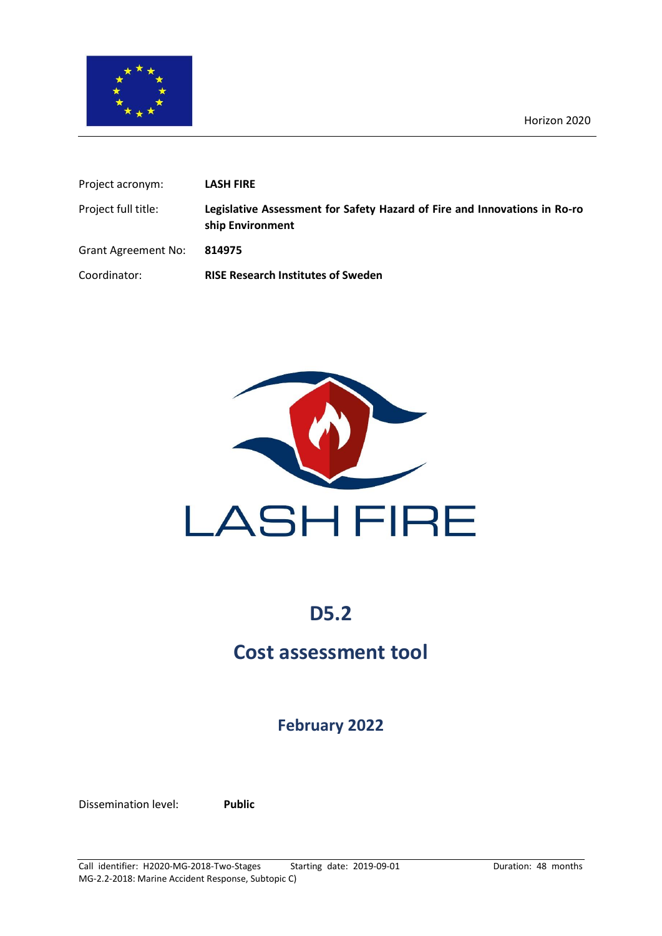

| Project acronym:           | <b>LASH FIRE</b>                                                                              |
|----------------------------|-----------------------------------------------------------------------------------------------|
| Project full title:        | Legislative Assessment for Safety Hazard of Fire and Innovations in Ro-ro<br>ship Environment |
| <b>Grant Agreement No:</b> | 814975                                                                                        |
| Coordinator:               | <b>RISE Research Institutes of Sweden</b>                                                     |



# **D5.2**

# **Cost assessment tool**

## **February 2022**

Dissemination level: **Public**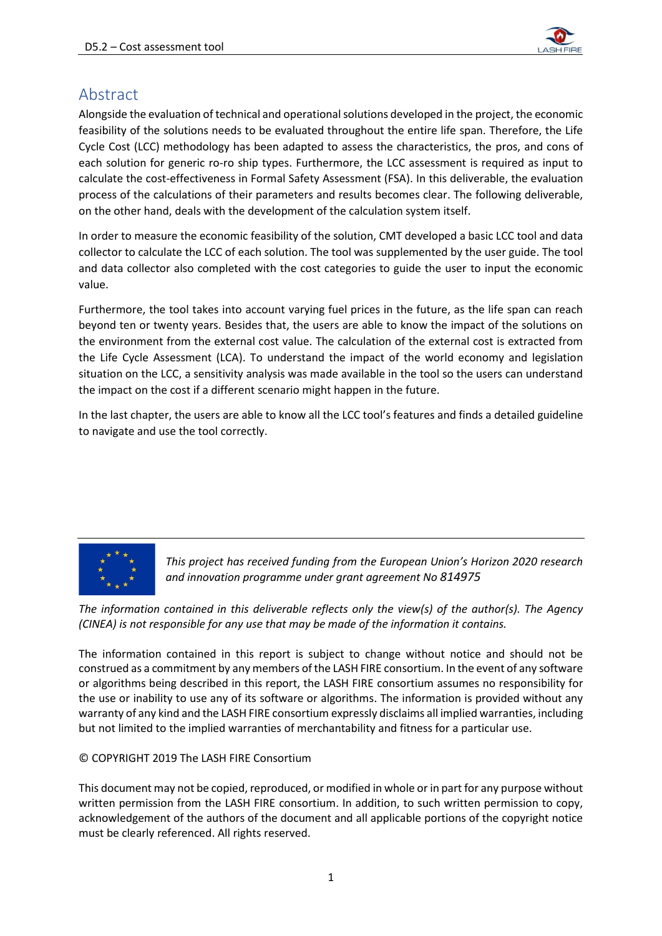

## <span id="page-1-0"></span>Abstract

Alongside the evaluation of technical and operational solutions developed in the project, the economic feasibility of the solutions needs to be evaluated throughout the entire life span. Therefore, the Life Cycle Cost (LCC) methodology has been adapted to assess the characteristics, the pros, and cons of each solution for generic ro-ro ship types. Furthermore, the LCC assessment is required as input to calculate the cost-effectiveness in Formal Safety Assessment (FSA). In this deliverable, the evaluation process of the calculations of their parameters and results becomes clear. The following deliverable, on the other hand, deals with the development of the calculation system itself.

In order to measure the economic feasibility of the solution, CMT developed a basic LCC tool and data collector to calculate the LCC of each solution. The tool was supplemented by the user guide. The tool and data collector also completed with the cost categories to guide the user to input the economic value.

Furthermore, the tool takes into account varying fuel prices in the future, as the life span can reach beyond ten or twenty years. Besides that, the users are able to know the impact of the solutions on the environment from the external cost value. The calculation of the external cost is extracted from the Life Cycle Assessment (LCA). To understand the impact of the world economy and legislation situation on the LCC, a sensitivity analysis was made available in the tool so the users can understand the impact on the cost if a different scenario might happen in the future.

In the last chapter, the users are able to know all the LCC tool's features and finds a detailed guideline to navigate and use the tool correctly.



*This project has received funding from the European Union's Horizon 2020 research and innovation programme under grant agreement No 814975*

*The information contained in this deliverable reflects only the view(s) of the author(s). The Agency (CINEA) is not responsible for any use that may be made of the information it contains.*

The information contained in this report is subject to change without notice and should not be construed as a commitment by any members of the LASH FIRE consortium. In the event of any software or algorithms being described in this report, the LASH FIRE consortium assumes no responsibility for the use or inability to use any of its software or algorithms. The information is provided without any warranty of any kind and the LASH FIRE consortium expressly disclaims all implied warranties, including but not limited to the implied warranties of merchantability and fitness for a particular use.

#### © COPYRIGHT 2019 The LASH FIRE Consortium

This document may not be copied, reproduced, or modified in whole or in part for any purpose without written permission from the LASH FIRE consortium. In addition, to such written permission to copy, acknowledgement of the authors of the document and all applicable portions of the copyright notice must be clearly referenced. All rights reserved.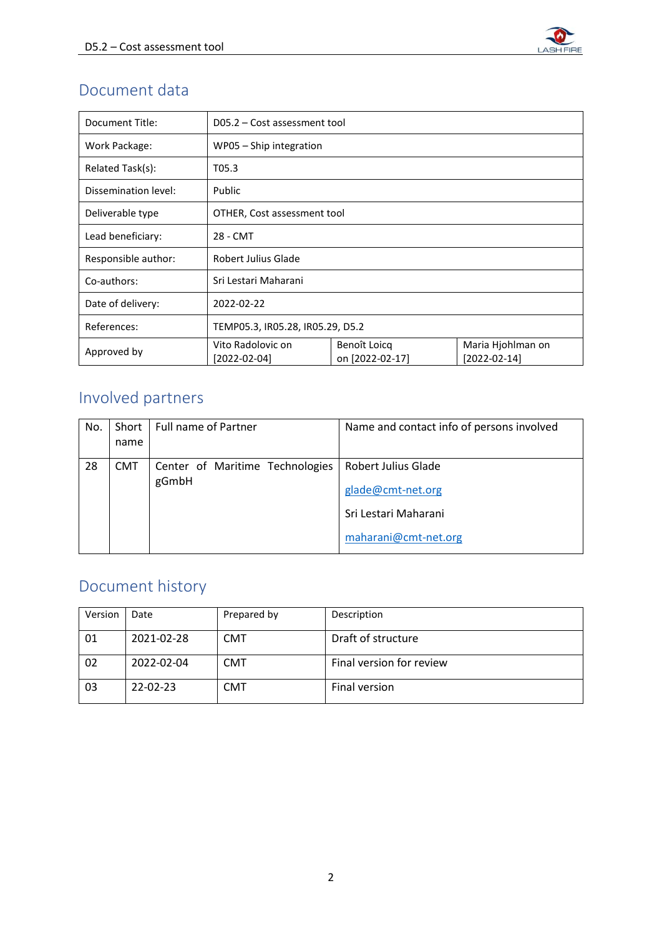

# Document data

| Document Title:      | D05.2 – Cost assessment tool                                         |  |                                     |  |  |  |  |
|----------------------|----------------------------------------------------------------------|--|-------------------------------------|--|--|--|--|
| Work Package:        | WP05 - Ship integration                                              |  |                                     |  |  |  |  |
| Related Task(s):     | T05.3                                                                |  |                                     |  |  |  |  |
| Dissemination level: | Public                                                               |  |                                     |  |  |  |  |
| Deliverable type     | OTHER, Cost assessment tool                                          |  |                                     |  |  |  |  |
| Lead beneficiary:    | 28 - CMT                                                             |  |                                     |  |  |  |  |
| Responsible author:  | Robert Julius Glade                                                  |  |                                     |  |  |  |  |
| Co-authors:          | Sri Lestari Maharani                                                 |  |                                     |  |  |  |  |
| Date of delivery:    | 2022-02-22                                                           |  |                                     |  |  |  |  |
| References:          | TEMP05.3, IR05.28, IR05.29, D5.2                                     |  |                                     |  |  |  |  |
| Approved by          | Vito Radolovic on<br>Benoît Loicq<br>on [2022-02-17]<br>[2022-02-04] |  | Maria Hjohlman on<br>$[2022-02-14]$ |  |  |  |  |

# Involved partners

| No. | Short<br>name | <b>Full name of Partner</b>     | Name and contact info of persons involved |
|-----|---------------|---------------------------------|-------------------------------------------|
|     |               |                                 |                                           |
| 28  | <b>CMT</b>    | Center of Maritime Technologies | <b>Robert Julius Glade</b>                |
|     |               | gGmbH                           | glade@cmt-net.org                         |
|     |               |                                 | Sri Lestari Maharani                      |
|     |               |                                 | maharani@cmt-net.org                      |

# Document history

| Version | Date       | Prepared by | Description              |
|---------|------------|-------------|--------------------------|
| 01      | 2021-02-28 | <b>CMT</b>  | Draft of structure       |
| 02      | 2022-02-04 | <b>CMT</b>  | Final version for review |
| 03      | 22-02-23   | <b>CMT</b>  | Final version            |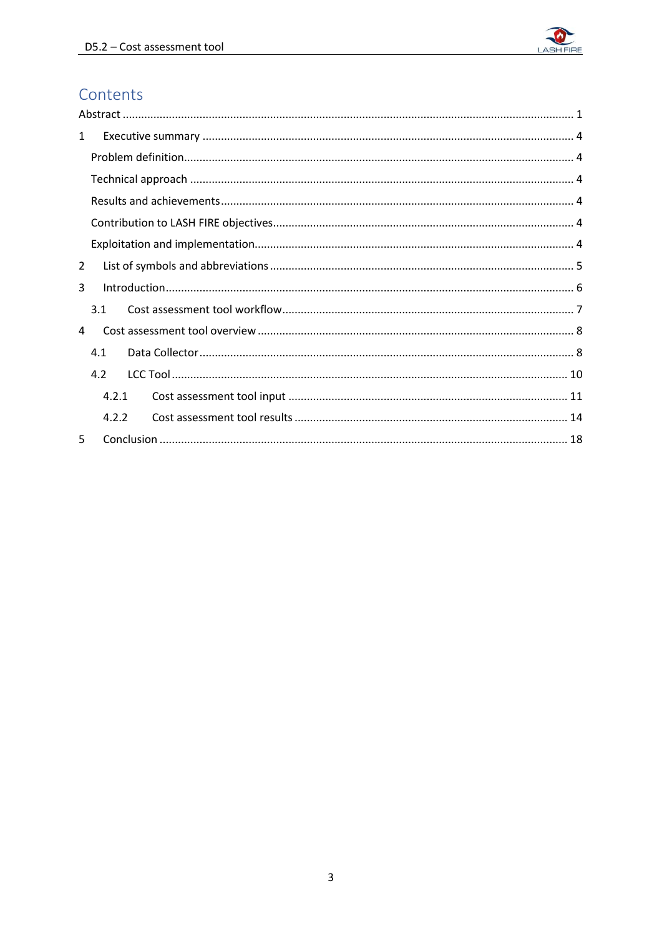

# Contents

| $\mathbf{1}$ |       |  |
|--------------|-------|--|
|              |       |  |
|              |       |  |
|              |       |  |
|              |       |  |
|              |       |  |
| 2            |       |  |
| 3            |       |  |
|              | 3.1   |  |
| 4            |       |  |
|              | 4.1   |  |
|              | 4.2   |  |
|              | 4.2.1 |  |
|              | 4.2.2 |  |
| 5            |       |  |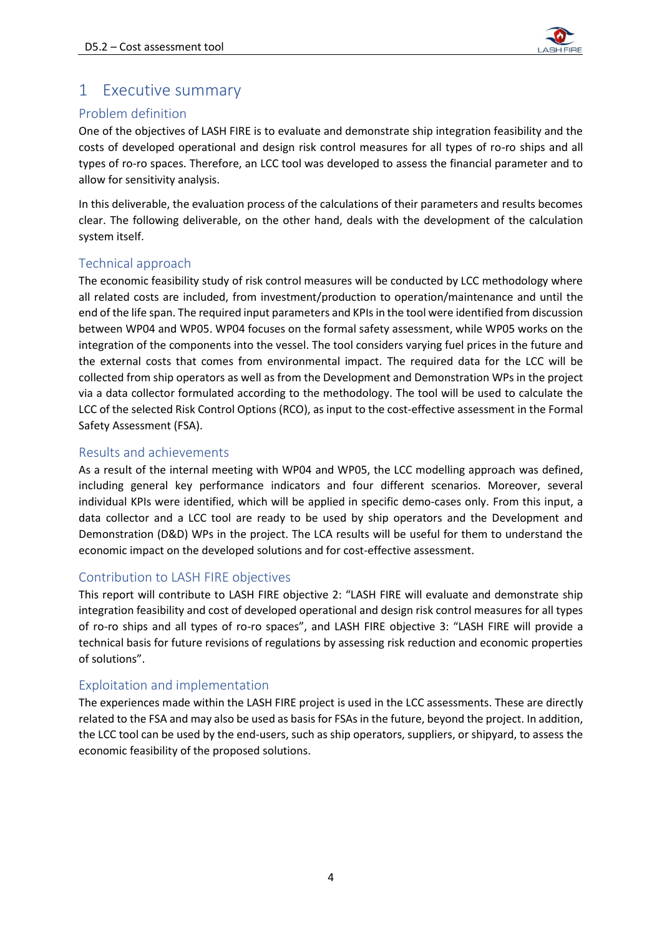

## <span id="page-4-0"></span>1 Executive summary

### <span id="page-4-1"></span>Problem definition

One of the objectives of LASH FIRE is to evaluate and demonstrate ship integration feasibility and the costs of developed operational and design risk control measures for all types of ro-ro ships and all types of ro-ro spaces. Therefore, an LCC tool was developed to assess the financial parameter and to allow for sensitivity analysis.

In this deliverable, the evaluation process of the calculations of their parameters and results becomes clear. The following deliverable, on the other hand, deals with the development of the calculation system itself.

### <span id="page-4-2"></span>Technical approach

The economic feasibility study of risk control measures will be conducted by LCC methodology where all related costs are included, from investment/production to operation/maintenance and until the end of the life span. The required input parameters and KPIs in the tool were identified from discussion between WP04 and WP05. WP04 focuses on the formal safety assessment, while WP05 works on the integration of the components into the vessel. The tool considers varying fuel prices in the future and the external costs that comes from environmental impact. The required data for the LCC will be collected from ship operators as well as from the Development and Demonstration WPs in the project via a data collector formulated according to the methodology. The tool will be used to calculate the LCC of the selected Risk Control Options (RCO), as input to the cost-effective assessment in the Formal Safety Assessment (FSA).

### <span id="page-4-3"></span>Results and achievements

As a result of the internal meeting with WP04 and WP05, the LCC modelling approach was defined, including general key performance indicators and four different scenarios. Moreover, several individual KPIs were identified, which will be applied in specific demo-cases only. From this input, a data collector and a LCC tool are ready to be used by ship operators and the Development and Demonstration (D&D) WPs in the project. The LCA results will be useful for them to understand the economic impact on the developed solutions and for cost-effective assessment.

### <span id="page-4-4"></span>Contribution to LASH FIRE objectives

This report will contribute to LASH FIRE objective 2: "LASH FIRE will evaluate and demonstrate ship integration feasibility and cost of developed operational and design risk control measures for all types of ro-ro ships and all types of ro-ro spaces", and LASH FIRE objective 3: "LASH FIRE will provide a technical basis for future revisions of regulations by assessing risk reduction and economic properties of solutions".

### <span id="page-4-5"></span>Exploitation and implementation

The experiences made within the LASH FIRE project is used in the LCC assessments. These are directly related to the FSA and may also be used as basis for FSAs in the future, beyond the project. In addition, the LCC tool can be used by the end-users, such as ship operators, suppliers, or shipyard, to assess the economic feasibility of the proposed solutions.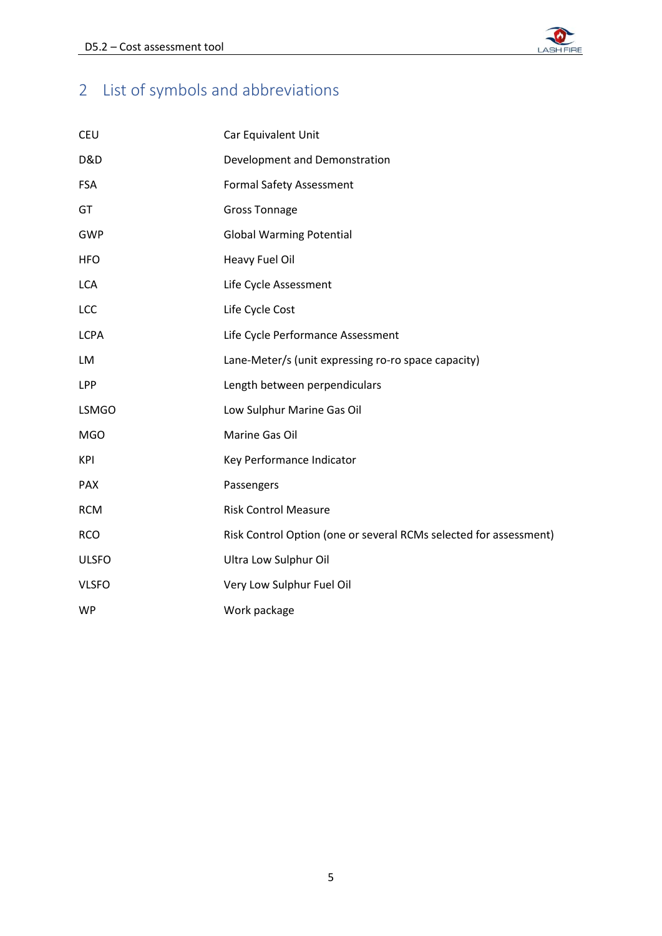

# <span id="page-5-0"></span>2 List of symbols and abbreviations

| <b>CEU</b>     | Car Equivalent Unit                                               |
|----------------|-------------------------------------------------------------------|
| <b>D&amp;D</b> | Development and Demonstration                                     |
| <b>FSA</b>     | <b>Formal Safety Assessment</b>                                   |
| GT             | <b>Gross Tonnage</b>                                              |
| <b>GWP</b>     | <b>Global Warming Potential</b>                                   |
| <b>HFO</b>     | Heavy Fuel Oil                                                    |
| <b>LCA</b>     | Life Cycle Assessment                                             |
| LCC            | Life Cycle Cost                                                   |
| <b>LCPA</b>    | Life Cycle Performance Assessment                                 |
| LM             | Lane-Meter/s (unit expressing ro-ro space capacity)               |
| LPP            | Length between perpendiculars                                     |
| <b>LSMGO</b>   | Low Sulphur Marine Gas Oil                                        |
| <b>MGO</b>     | Marine Gas Oil                                                    |
| KPI            | Key Performance Indicator                                         |
| <b>PAX</b>     | Passengers                                                        |
| <b>RCM</b>     | <b>Risk Control Measure</b>                                       |
| <b>RCO</b>     | Risk Control Option (one or several RCMs selected for assessment) |
| <b>ULSFO</b>   | Ultra Low Sulphur Oil                                             |
| <b>VLSFO</b>   | Very Low Sulphur Fuel Oil                                         |
| <b>WP</b>      | Work package                                                      |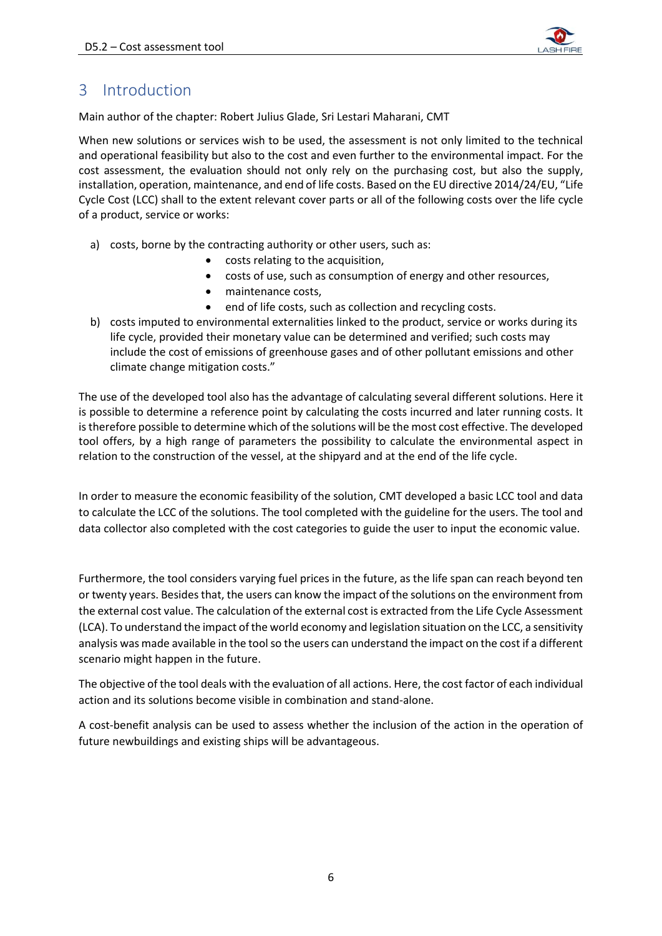

## <span id="page-6-0"></span>3 Introduction

Main author of the chapter: Robert Julius Glade, Sri Lestari Maharani, CMT

When new solutions or services wish to be used, the assessment is not only limited to the technical and operational feasibility but also to the cost and even further to the environmental impact. For the cost assessment, the evaluation should not only rely on the purchasing cost, but also the supply, installation, operation, maintenance, and end of life costs. Based on the EU directive 2014/24/EU, "Life Cycle Cost (LCC) shall to the extent relevant cover parts or all of the following costs over the life cycle of a product, service or works:

- a) costs, borne by the contracting authority or other users, such as:
	- costs relating to the acquisition,
	- costs of use, such as consumption of energy and other resources,
	- maintenance costs,
	- end of life costs, such as collection and recycling costs.
- b) costs imputed to environmental externalities linked to the product, service or works during its life cycle, provided their monetary value can be determined and verified; such costs may include the cost of emissions of greenhouse gases and of other pollutant emissions and other climate change mitigation costs."

The use of the developed tool also has the advantage of calculating several different solutions. Here it is possible to determine a reference point by calculating the costs incurred and later running costs. It is therefore possible to determine which of the solutions will be the most cost effective. The developed tool offers, by a high range of parameters the possibility to calculate the environmental aspect in relation to the construction of the vessel, at the shipyard and at the end of the life cycle.

In order to measure the economic feasibility of the solution, CMT developed a basic LCC tool and data to calculate the LCC of the solutions. The tool completed with the guideline for the users. The tool and data collector also completed with the cost categories to guide the user to input the economic value.

Furthermore, the tool considers varying fuel prices in the future, as the life span can reach beyond ten or twenty years. Besides that, the users can know the impact of the solutions on the environment from the external cost value. The calculation of the external cost is extracted from the Life Cycle Assessment (LCA). To understand the impact of the world economy and legislation situation on the LCC, a sensitivity analysis was made available in the tool so the users can understand the impact on the cost if a different scenario might happen in the future.

The objective of the tool deals with the evaluation of all actions. Here, the cost factor of each individual action and its solutions become visible in combination and stand-alone.

A cost-benefit analysis can be used to assess whether the inclusion of the action in the operation of future newbuildings and existing ships will be advantageous.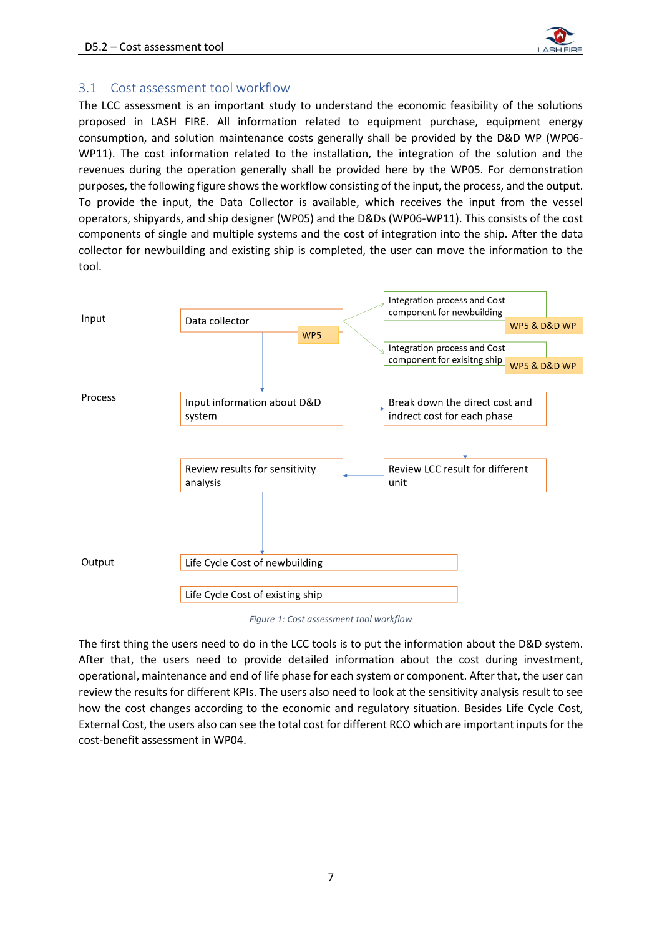

### <span id="page-7-0"></span>3.1 Cost assessment tool workflow

The LCC assessment is an important study to understand the economic feasibility of the solutions proposed in LASH FIRE. All information related to equipment purchase, equipment energy consumption, and solution maintenance costs generally shall be provided by the D&D WP (WP06- WP11). The cost information related to the installation, the integration of the solution and the revenues during the operation generally shall be provided here by the WP05. For demonstration purposes, the following figure shows the workflow consisting of the input, the process, and the output. To provide the input, the Data Collector is available, which receives the input from the vessel operators, shipyards, and ship designer (WP05) and the D&Ds (WP06-WP11). This consists of the cost components of single and multiple systems and the cost of integration into the ship. After the data collector for newbuilding and existing ship is completed, the user can move the information to the tool.



*Figure 1: Cost assessment tool workflow*

The first thing the users need to do in the LCC tools is to put the information about the D&D system. After that, the users need to provide detailed information about the cost during investment, operational, maintenance and end of life phase for each system or component. After that, the user can review the results for different KPIs. The users also need to look at the sensitivity analysis result to see how the cost changes according to the economic and regulatory situation. Besides Life Cycle Cost, External Cost, the users also can see the total cost for different RCO which are important inputs for the cost-benefit assessment in WP04.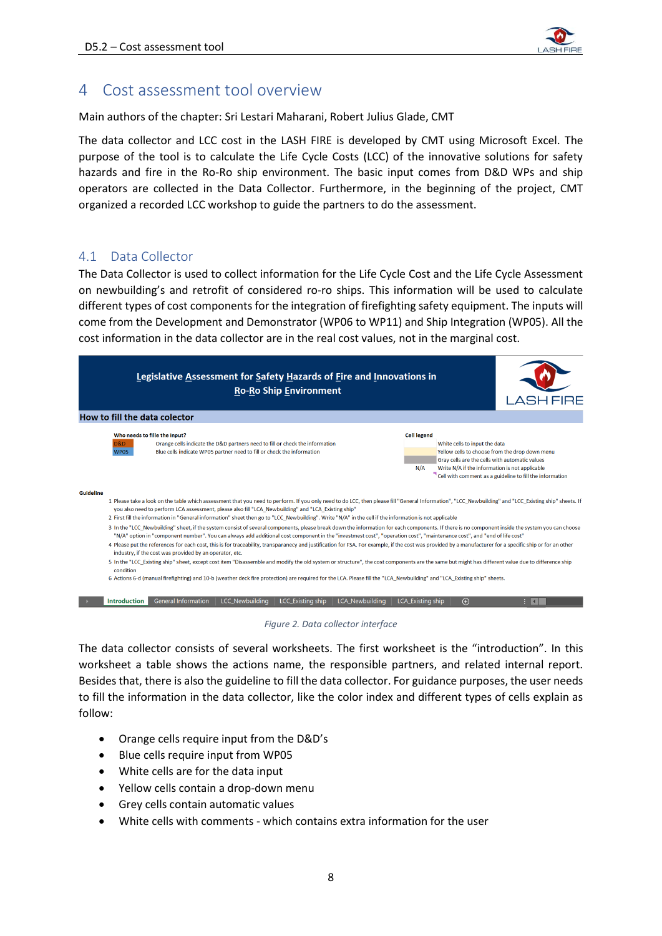

## <span id="page-8-0"></span>4 Cost assessment tool overview

Main authors of the chapter: Sri Lestari Maharani, Robert Julius Glade, CMT

The data collector and LCC cost in the LASH FIRE is developed by CMT using Microsoft Excel. The purpose of the tool is to calculate the Life Cycle Costs (LCC) of the innovative solutions for safety hazards and fire in the Ro-Ro ship environment. The basic input comes from D&D WPs and ship operators are collected in the Data Collector. Furthermore, in the beginning of the project, CMT organized a recorded LCC workshop to guide the partners to do the assessment.

### <span id="page-8-1"></span>4.1 Data Collector

The Data Collector is used to collect information for the Life Cycle Cost and the Life Cycle Assessment on newbuilding's and retrofit of considered ro-ro ships. This information will be used to calculate different types of cost components for the integration of firefighting safety equipment. The inputs will come from the Development and Demonstrator (WP06 to WP11) and Ship Integration (WP05). All the cost information in the data collector are in the real cost values, not in the marginal cost.





The data collector consists of several worksheets. The first worksheet is the "introduction". In this worksheet a table shows the actions name, the responsible partners, and related internal report. Besides that, there is also the guideline to fill the data collector. For guidance purposes, the user needs to fill the information in the data collector, like the color index and different types of cells explain as follow:

- Orange cells require input from the D&D's
- Blue cells require input from WP05
- White cells are for the data input
- Yellow cells contain a drop-down menu
- Grey cells contain automatic values
- White cells with comments which contains extra information for the user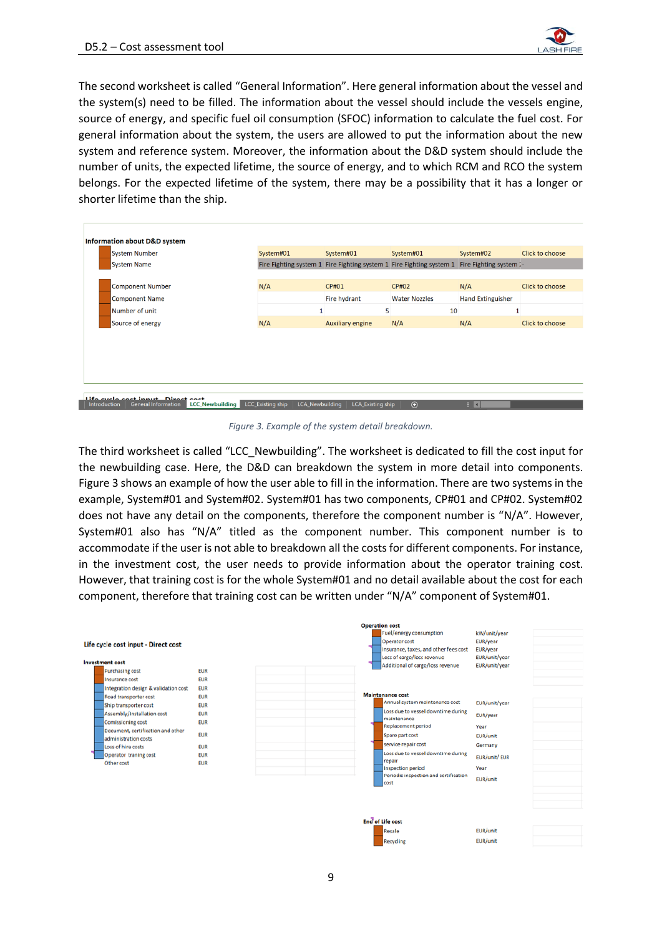

The second worksheet is called "General Information". Here general information about the vessel and the system(s) need to be filled. The information about the vessel should include the vessels engine, source of energy, and specific fuel oil consumption (SFOC) information to calculate the fuel cost. For general information about the system, the users are allowed to put the information about the new system and reference system. Moreover, the information about the D&D system should include the number of units, the expected lifetime, the source of energy, and to which RCM and RCO the system belongs. For the expected lifetime of the system, there may be a possibility that it has a longer or shorter lifetime than the ship.

| <b>System Number</b>    | System#01 | System#01               | System#01                                                                                    | System#02                | Click to choose |
|-------------------------|-----------|-------------------------|----------------------------------------------------------------------------------------------|--------------------------|-----------------|
| <b>System Name</b>      |           |                         | Fire Fighting system 1 Fire Fighting system 1 Fire Fighting system 1 Fire Fighting system 1- |                          |                 |
|                         |           |                         |                                                                                              |                          |                 |
| <b>Component Number</b> | N/A       | CP#01                   | <b>CP#02</b>                                                                                 | N/A                      | Click to choose |
| <b>Component Name</b>   |           | Fire hydrant            | <b>Water Nozzles</b>                                                                         | <b>Hand Extinguisher</b> |                 |
| Number of unit          |           | 5                       | 10                                                                                           |                          |                 |
| Source of energy        | N/A       | <b>Auxiliary engine</b> | N/A                                                                                          | N/A                      | Click to choose |
|                         |           |                         |                                                                                              |                          |                 |
|                         |           |                         |                                                                                              |                          |                 |
|                         |           |                         |                                                                                              |                          |                 |
|                         |           |                         |                                                                                              |                          |                 |
|                         |           |                         |                                                                                              |                          |                 |
|                         |           |                         |                                                                                              |                          |                 |

*Figure 3. Example of the system detail breakdown.*

<span id="page-9-0"></span>The third worksheet is called "LCC\_Newbuilding". The worksheet is dedicated to fill the cost input for the newbuilding case. Here, the D&D can breakdown the system in more detail into components. [Figure 3](#page-9-0) shows an example of how the user able to fill in the information. There are two systems in the example, System#01 and System#02. System#01 has two components, CP#01 and CP#02. System#02 does not have any detail on the components, therefore the component number is "N/A". However, System#01 also has "N/A" titled as the component number. This component number is to accommodate if the user is not able to breakdown all the costs for different components. For instance, in the investment cost, the user needs to provide information about the operator training cost. However, that training cost is for the whole System#01 and no detail available about the cost for each component, therefore that training cost can be written under "N/A" component of System#01.

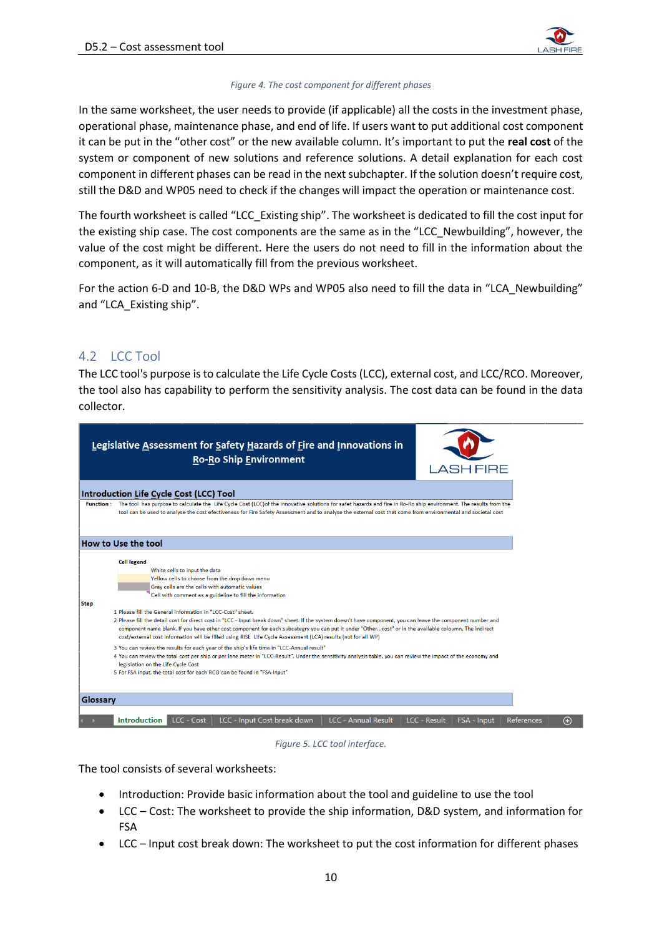

#### *Figure 4. The cost component for different phases*

In the same worksheet, the user needs to provide (if applicable) all the costs in the investment phase, operational phase, maintenance phase, and end of life. If users want to put additional cost component it can be put in the "other cost" or the new available column. It's important to put the **real cost** of the system or component of new solutions and reference solutions. A detail explanation for each cost component in different phases can be read in the next subchapter. If the solution doesn't require cost, still the D&D and WP05 need to check if the changes will impact the operation or maintenance cost.

The fourth worksheet is called "LCC\_Existing ship". The worksheet is dedicated to fill the cost input for the existing ship case. The cost components are the same as in the "LCC\_Newbuilding", however, the value of the cost might be different. Here the users do not need to fill in the information about the component, as it will automatically fill from the previous worksheet.

For the action 6-D and 10-B, the D&D WPs and WP05 also need to fill the data in "LCA\_Newbuilding" and "LCA\_Existing ship".

### <span id="page-10-0"></span>4.2 LCC Tool

The LCC tool's purpose is to calculate the Life Cycle Costs (LCC), external cost, and LCC/RCO. Moreover, the tool also has capability to perform the sensitivity analysis. The cost data can be found in the data collector.

|             | Legislative Assessment for Safety Hazards of Fire and Innovations in<br><b>Ro-Ro Ship Environment</b>                                                                                                                                                                                                                                                                                                                                                                                                                                                                                                                                                                                                                        | <b>LASH FIRE</b>                   |            |
|-------------|------------------------------------------------------------------------------------------------------------------------------------------------------------------------------------------------------------------------------------------------------------------------------------------------------------------------------------------------------------------------------------------------------------------------------------------------------------------------------------------------------------------------------------------------------------------------------------------------------------------------------------------------------------------------------------------------------------------------------|------------------------------------|------------|
|             | Introduction Life Cycle Cost (LCC) Tool                                                                                                                                                                                                                                                                                                                                                                                                                                                                                                                                                                                                                                                                                      |                                    |            |
|             | Function : The tool has purpose to calculate the Life Cycle Cost (LCC) of the innovative solutions for safet hazards and fire in Ro-Ro ship environment. The results from the<br>tool can be used to analyse the cost efectiveness for Fire Safety Assessment and to analyse the external cost that come from environmental and societal cost                                                                                                                                                                                                                                                                                                                                                                                |                                    |            |
|             | How to Use the tool                                                                                                                                                                                                                                                                                                                                                                                                                                                                                                                                                                                                                                                                                                          |                                    |            |
| <b>Step</b> | <b>Cell legend</b><br>White cells to input the data<br>Yellow cells to choose from the drop down menu<br>Gray cells are the cells with automatic values<br>Cell with comment as a guideline to fill the information<br>1 Please fill the General information in "LCC-Cost" sheet.<br>2 Please fill the detail cost for direct cost in "LCC - Input break down" sheet. If the system doesn't have component, you can leave the component number and<br>component name blank. If you have other cost component for each subcategry you can put it under "Othercost" or in the available coloumn. The indirect<br>cost/external cost information will be filled using RISE Life Cycle Assessment (LCA) results (not for all WP) |                                    |            |
|             | 3 You can review the results for each year of the ship's life time in "LCC-Annual result"<br>4 You can review the total cost per ship or per lane meter in "LCC-Result". Under the sensitivity analysis table, you can review the impact of the economy and<br>legislation on the Life Cycle Cost<br>5 For FSA input, the total cost for each RCO can be found in "FSA-Input"                                                                                                                                                                                                                                                                                                                                                |                                    |            |
| Glossary    |                                                                                                                                                                                                                                                                                                                                                                                                                                                                                                                                                                                                                                                                                                                              |                                    |            |
|             | LCC - Input Cost break down<br><b>LCC - Annual Result</b><br><b>Introduction</b><br>LCC - Cost                                                                                                                                                                                                                                                                                                                                                                                                                                                                                                                                                                                                                               | <b>LCC - Result</b><br>FSA - Input | References |

*Figure 5. LCC tool interface.*

<span id="page-10-1"></span>The tool consists of several worksheets:

- Introduction: Provide basic information about the tool and guideline to use the tool
- LCC Cost: The worksheet to provide the ship information, D&D system, and information for FSA
- LCC Input cost break down: The worksheet to put the cost information for different phases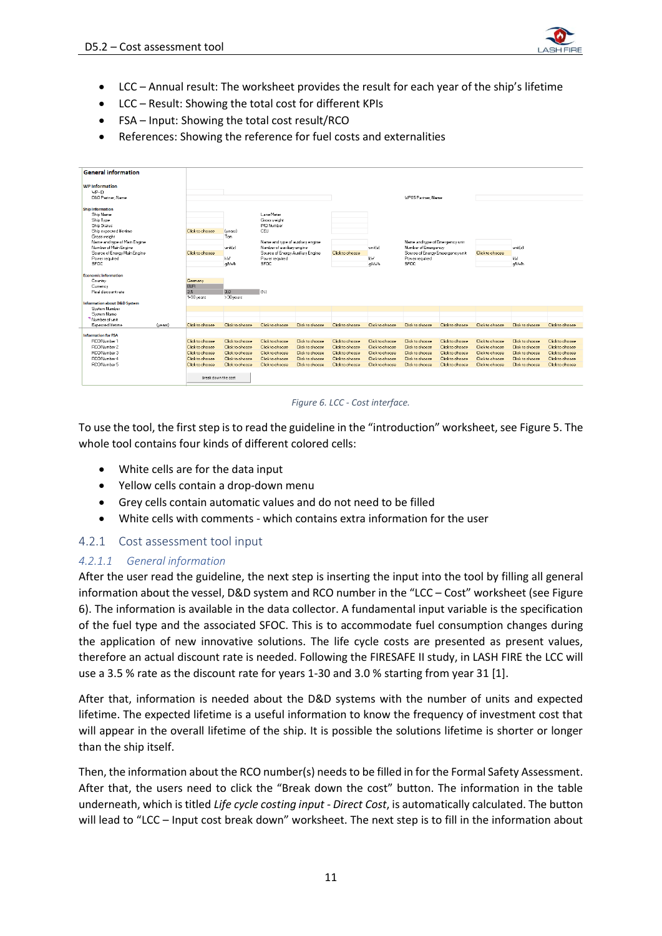

- LCC Annual result: The worksheet provides the result for each year of the ship's lifetime
- LCC Result: Showing the total cost for different KPIs
- FSA Input: Showing the total cost result/RCO
- References: Showing the reference for fuel costs and externalities

| <b>General information</b>                                 |         |                                    |                                    |                                   |                                    |                                    |                                    |                                  |                                    |                 |                 |                 |
|------------------------------------------------------------|---------|------------------------------------|------------------------------------|-----------------------------------|------------------------------------|------------------------------------|------------------------------------|----------------------------------|------------------------------------|-----------------|-----------------|-----------------|
| <b>WP</b> Information<br>$VP-H$<br><b>DRD Partner Name</b> |         |                                    |                                    |                                   |                                    |                                    |                                    | <b>WP05 Partner, Name</b>        |                                    |                 |                 |                 |
| <b>Ship Information</b>                                    |         |                                    |                                    |                                   |                                    |                                    |                                    |                                  |                                    |                 |                 |                 |
| Ship Name                                                  |         |                                    |                                    | Lane Meter                        |                                    |                                    |                                    |                                  |                                    |                 |                 |                 |
| Ship Tupe                                                  |         |                                    |                                    | Gross weight                      |                                    |                                    |                                    |                                  |                                    |                 |                 |                 |
| Ship Status                                                |         |                                    |                                    | <b>IMO Number</b>                 |                                    |                                    |                                    |                                  |                                    |                 |                 |                 |
| Ship expected life time                                    |         | Click to choose                    | (vears)                            | CEU                               |                                    |                                    |                                    |                                  |                                    |                 |                 |                 |
| Gross weight<br>Name and type of Main Engine               |         |                                    | Ton                                | Name and type of auxiliary engine |                                    |                                    |                                    | Name and type of Emergency unit  |                                    |                 |                 |                 |
| Number of Main Engine                                      |         |                                    | unitfs)                            | Number of auxiliary engine        |                                    |                                    | unitfsl                            | Number of Emergency              |                                    |                 | unit(s)         |                 |
| Source of Energy Main Engine                               |         | Click to choose                    |                                    | Source of Energy Auxiliary Engine |                                    | Click to choose                    |                                    | Source of Energy Emeergency unit |                                    | Click to choose |                 |                 |
| Power required                                             |         |                                    | W                                  | Power required                    |                                    |                                    | <b>KW</b>                          | Power required                   |                                    |                 | kW.             |                 |
| <b>SFOC</b>                                                |         |                                    | alkwh                              | SFOC.                             |                                    |                                    | alkVh                              | <b>SFOC</b>                      |                                    |                 | alkWh           |                 |
|                                                            |         |                                    |                                    |                                   |                                    |                                    |                                    |                                  |                                    |                 |                 |                 |
| <b>Economic information</b><br>Country                     |         | Germany                            |                                    |                                   |                                    |                                    |                                    |                                  |                                    |                 |                 |                 |
| Currency                                                   |         | <b>EUR</b>                         |                                    |                                   |                                    |                                    |                                    |                                  |                                    |                 |                 |                 |
| Real discount rate                                         |         | 3.5                                | 3.0                                | $\alpha$                          |                                    |                                    |                                    |                                  |                                    |                 |                 |                 |
|                                                            |         | 1-30 years                         | $>30$ vears                        |                                   |                                    |                                    |                                    |                                  |                                    |                 |                 |                 |
| <b>Information about D&amp;D System</b>                    |         |                                    |                                    |                                   |                                    |                                    |                                    |                                  |                                    |                 |                 |                 |
| Sustem Number                                              |         |                                    |                                    |                                   |                                    |                                    |                                    |                                  |                                    |                 |                 |                 |
| Sustem Name<br>Number of unit                              |         |                                    |                                    |                                   |                                    |                                    |                                    |                                  |                                    |                 |                 |                 |
| Expected lifetime                                          | (vears) | Click to choose                    | Click to choose                    | Click to choose                   | Click to choose                    | Click to choose                    | Click to choose                    | Click to choose                  | Click to choose                    | Click to choose | Click to choose | Click to choose |
|                                                            |         |                                    |                                    |                                   |                                    |                                    |                                    |                                  |                                    |                 |                 |                 |
| <b>Information for FSA</b>                                 |         |                                    |                                    |                                   |                                    |                                    |                                    |                                  |                                    |                 |                 |                 |
| <b>BCO Number 1</b>                                        |         | Click to choose                    | Click to choose                    | Click to choose                   | Click to choose                    | Click to choose                    | Click to choose                    | Click to choose                  | Click to choose                    | Click to choose | Click to choose | Click to choose |
| RCO Number 2                                               |         | Click to choose                    | Click to choose                    | Click to choose                   | Click to choose                    | Click to choose                    | Click to choose                    | Click to choose                  | Click to choose                    | Click to choose | Click to choose | Click to choose |
| <b>BCO Number 3</b>                                        |         | Click to choose                    | Click to choose                    | Click to choose                   | Click to choose                    | Click to choose                    | Click to choose                    | Click to choose                  | Click to choose                    | Click to choose | Click to choose | Click to choose |
| <b>RCO Number 4</b><br><b>BCO Number 5</b>                 |         | Click to choose<br>Click to choose | Click to choose<br>Click to choose | Click to choose                   | Click to choose<br>Click to choose | Click to choose<br>Click to choose | Click to choose<br>Click to choose | Click to choose                  | Click to choose<br>Click to choose | Click to choose | Click to choose | Click to choose |
|                                                            |         |                                    |                                    | Click to choose                   |                                    |                                    |                                    | Click to choose                  |                                    | Click to choose | Click to choose | Click to choose |
|                                                            |         | Break down the cost                |                                    |                                   |                                    |                                    |                                    |                                  |                                    |                 |                 |                 |



<span id="page-11-1"></span>To use the tool, the first step is to read the guideline in the "introduction" worksheet, see [Figure 5.](#page-10-1) The whole tool contains four kinds of different colored cells:

- White cells are for the data input
- Yellow cells contain a drop-down menu
- Grey cells contain automatic values and do not need to be filled
- White cells with comments which contains extra information for the user

#### <span id="page-11-0"></span>4.2.1 Cost assessment tool input

#### *4.2.1.1 General information*

After the user read the guideline, the next step is inserting the input into the tool by filling all general information about the vessel, D&D system and RCO number in the "LCC – Cost" worksheet (se[e Figure](#page-11-1)  [6\)](#page-11-1). The information is available in the data collector. A fundamental input variable is the specification of the fuel type and the associated SFOC. This is to accommodate fuel consumption changes during the application of new innovative solutions. The life cycle costs are presented as present values, therefore an actual discount rate is needed. Following the FIRESAFE II study, in LASH FIRE the LCC will use a 3.5 % rate as the discount rate for years 1-30 and 3.0 % starting from year 31 [1].

After that, information is needed about the D&D systems with the number of units and expected lifetime. The expected lifetime is a useful information to know the frequency of investment cost that will appear in the overall lifetime of the ship. It is possible the solutions lifetime is shorter or longer than the ship itself.

Then, the information about the RCO number(s) needs to be filled in for the Formal Safety Assessment. After that, the users need to click the "Break down the cost" button. The information in the table underneath, which is titled *Life cycle costing input - Direct Cost*, is automatically calculated. The button will lead to "LCC – Input cost break down" worksheet. The next step is to fill in the information about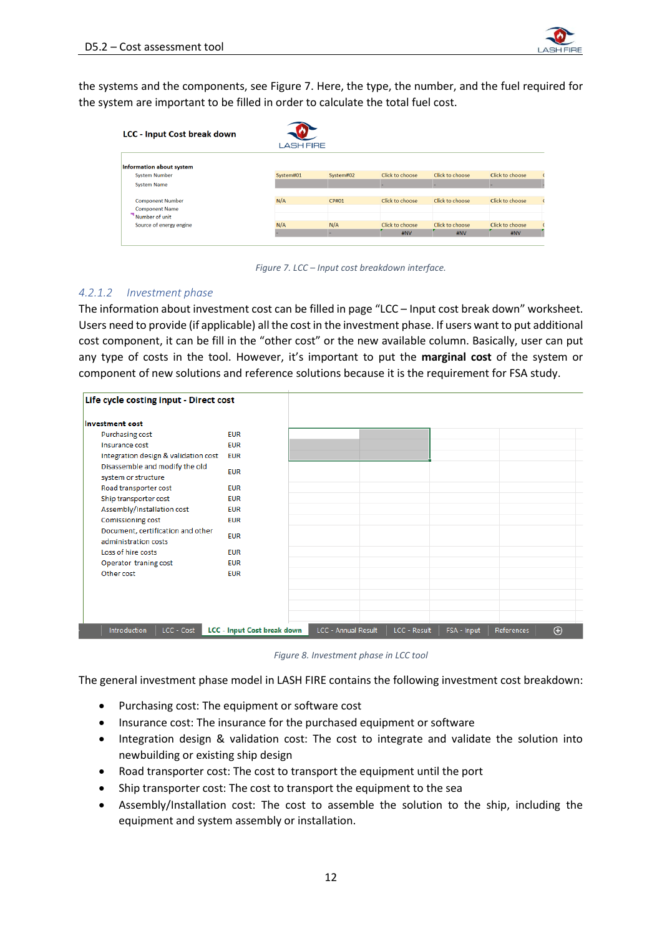

the systems and the components, see [Figure 7.](#page-12-0) Here, the type, the number, and the fuel required for the system are important to be filled in order to calculate the total fuel cost.

| <b>LCC - Input Cost break down</b>               | <b>LASH FIRE</b> |              |                 |                 |                 |
|--------------------------------------------------|------------------|--------------|-----------------|-----------------|-----------------|
| Information about system                         |                  |              |                 |                 |                 |
| <b>System Number</b>                             | System#01        | System#02    | Click to choose | Click to choose | Click to choose |
| <b>System Name</b>                               |                  |              |                 |                 |                 |
| <b>Component Number</b><br><b>Component Name</b> | N/A              | <b>CP#01</b> | Click to choose | Click to choose | Click to choose |
| Number of unit                                   |                  |              |                 |                 |                 |
| Source of energy engine                          | N/A              | N/A          | Click to choose | Click to choose | Click to choose |
|                                                  |                  | ×.           | #NV             | #NV             | #NV             |

*Figure 7. LCC – Input cost breakdown interface.*

#### <span id="page-12-0"></span>*4.2.1.2 Investment phase*

The information about investment cost can be filled in page "LCC – Input cost break down" worksheet. Users need to provide (if applicable) all the cost in the investment phase. If users want to put additional cost component, it can be fill in the "other cost" or the new available column. Basically, user can put any type of costs in the tool. However, it's important to put the **marginal cost** of the system or component of new solutions and reference solutions because it is the requirement for FSA study.

| Life cycle costing input - Direct cost                    |                                    |                     |              |             |            |             |
|-----------------------------------------------------------|------------------------------------|---------------------|--------------|-------------|------------|-------------|
| <b>Investment cost</b>                                    |                                    |                     |              |             |            |             |
| Purchasing cost                                           | <b>EUR</b>                         |                     |              |             |            |             |
| Insurance cost                                            | <b>EUR</b>                         |                     |              |             |            |             |
| Integration design & validation cost                      | <b>EUR</b>                         |                     |              |             |            |             |
| Disassemble and modify the old<br>system or structure     | <b>EUR</b>                         |                     |              |             |            |             |
| Road transporter cost                                     | <b>EUR</b>                         |                     |              |             |            |             |
| Ship transporter cost                                     | <b>FUR</b>                         |                     |              |             |            |             |
| Assembly/Installation cost                                | <b>EUR</b>                         |                     |              |             |            |             |
| Comissioning cost                                         | <b>EUR</b>                         |                     |              |             |            |             |
| Document, certification and other<br>administration costs | <b>EUR</b>                         |                     |              |             |            |             |
| Loss of hire costs                                        | <b>EUR</b>                         |                     |              |             |            |             |
| Operator traning cost                                     | <b>EUR</b>                         |                     |              |             |            |             |
| Other cost                                                | <b>EUR</b>                         |                     |              |             |            |             |
|                                                           |                                    |                     |              |             |            |             |
|                                                           |                                    |                     |              |             |            |             |
|                                                           |                                    |                     |              |             |            |             |
|                                                           |                                    |                     |              |             |            |             |
| LCC - Cost<br>Introduction                                | <b>LCC</b> - Input Cost break down | LCC - Annual Result | LCC - Result | FSA - Input | References | $\bigoplus$ |

*Figure 8. Investment phase in LCC tool*

The general investment phase model in LASH FIRE contains the following investment cost breakdown:

- Purchasing cost: The equipment or software cost
- Insurance cost: The insurance for the purchased equipment or software
- Integration design & validation cost: The cost to integrate and validate the solution into newbuilding or existing ship design
- Road transporter cost: The cost to transport the equipment until the port
- Ship transporter cost: The cost to transport the equipment to the sea
- Assembly/Installation cost: The cost to assemble the solution to the ship, including the equipment and system assembly or installation.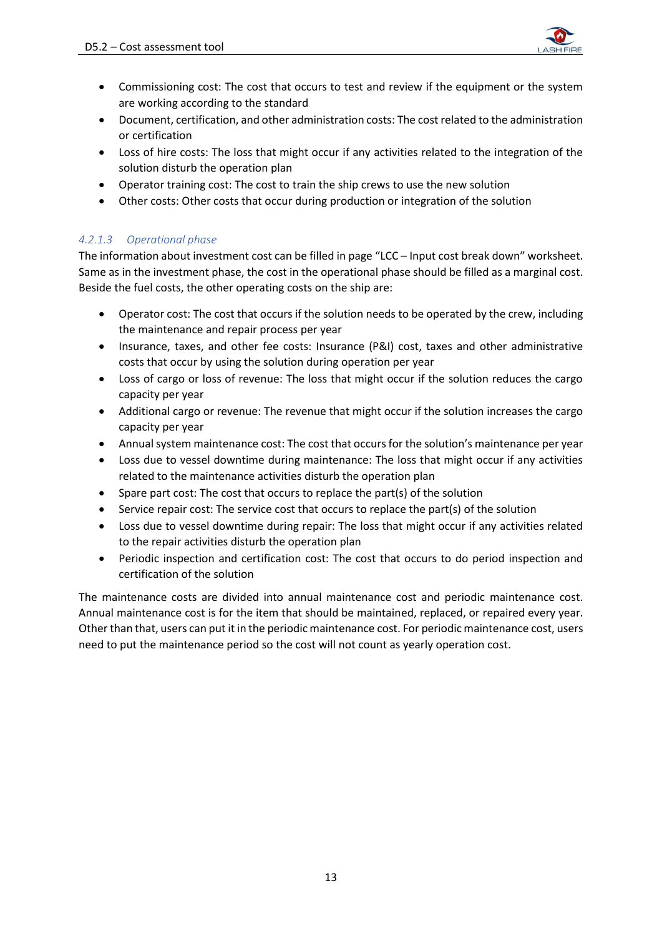

- Commissioning cost: The cost that occurs to test and review if the equipment or the system are working according to the standard
- Document, certification, and other administration costs: The cost related to the administration or certification
- Loss of hire costs: The loss that might occur if any activities related to the integration of the solution disturb the operation plan
- Operator training cost: The cost to train the ship crews to use the new solution
- Other costs: Other costs that occur during production or integration of the solution

### *4.2.1.3 Operational phase*

The information about investment cost can be filled in page "LCC – Input cost break down" worksheet. Same as in the investment phase, the cost in the operational phase should be filled as a marginal cost. Beside the fuel costs, the other operating costs on the ship are:

- Operator cost: The cost that occurs if the solution needs to be operated by the crew, including the maintenance and repair process per year
- Insurance, taxes, and other fee costs: Insurance (P&I) cost, taxes and other administrative costs that occur by using the solution during operation per year
- Loss of cargo or loss of revenue: The loss that might occur if the solution reduces the cargo capacity per year
- Additional cargo or revenue: The revenue that might occur if the solution increases the cargo capacity per year
- Annual system maintenance cost: The cost that occurs for the solution's maintenance per year
- Loss due to vessel downtime during maintenance: The loss that might occur if any activities related to the maintenance activities disturb the operation plan
- Spare part cost: The cost that occurs to replace the part(s) of the solution
- Service repair cost: The service cost that occurs to replace the part(s) of the solution
- Loss due to vessel downtime during repair: The loss that might occur if any activities related to the repair activities disturb the operation plan
- Periodic inspection and certification cost: The cost that occurs to do period inspection and certification of the solution

The maintenance costs are divided into annual maintenance cost and periodic maintenance cost. Annual maintenance cost is for the item that should be maintained, replaced, or repaired every year. Other than that, users can put it in the periodic maintenance cost. For periodic maintenance cost, users need to put the maintenance period so the cost will not count as yearly operation cost.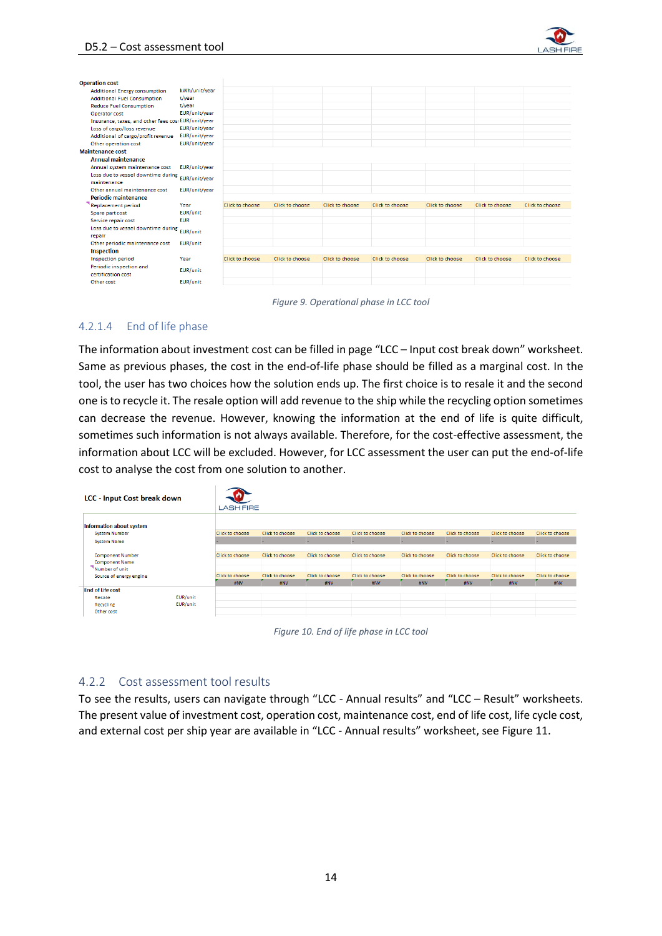

| <b>Operation cost</b>                               |               |                 |                 |                 |                 |                 |                 |                 |
|-----------------------------------------------------|---------------|-----------------|-----------------|-----------------|-----------------|-----------------|-----------------|-----------------|
| Additional Energy consumption                       | kWh/unit/year |                 |                 |                 |                 |                 |                 |                 |
| <b>Additional Fuel Consumption</b>                  | t/vear        |                 |                 |                 |                 |                 |                 |                 |
| <b>Reduce Fuel Consumption</b>                      | t/year        |                 |                 |                 |                 |                 |                 |                 |
| Operator cost                                       | EUR/unit/year |                 |                 |                 |                 |                 |                 |                 |
| Insurance, taxes, and other fees cost EUR/unit/year |               |                 |                 |                 |                 |                 |                 |                 |
| Loss of cargo/loss revenue                          | EUR/unit/year |                 |                 |                 |                 |                 |                 |                 |
| Additional of cargo/profit revenue                  | EUR/unit/year |                 |                 |                 |                 |                 |                 |                 |
| Other operation cost                                | EUR/unit/vear |                 |                 |                 |                 |                 |                 |                 |
| <b>Maintenance cost</b>                             |               |                 |                 |                 |                 |                 |                 |                 |
| <b>Annual maintenance</b>                           |               |                 |                 |                 |                 |                 |                 |                 |
| Annual system maintenance cost                      | EUR/unit/year |                 |                 |                 |                 |                 |                 |                 |
| Loss due to vessel downtime during<br>EUR/unit/year |               |                 |                 |                 |                 |                 |                 |                 |
| maintenance                                         |               |                 |                 |                 |                 |                 |                 |                 |
| Other annual maintenance cost                       | EUR/unit/year |                 |                 |                 |                 |                 |                 |                 |
| <b>Periodic maintenance</b>                         |               |                 |                 |                 |                 |                 |                 |                 |
| Replacement period                                  | Year          | Click to choose | Click to choose | Click to choose | Click to choose | Click to choose | Click to choose | Click to choose |
| Spare part cost                                     | EUR/unit      |                 |                 |                 |                 |                 |                 |                 |
| Service repair cost                                 | <b>EUR</b>    |                 |                 |                 |                 |                 |                 |                 |
| Loss due to vessel downtime during<br>repair        | EUR/unit      |                 |                 |                 |                 |                 |                 |                 |
| Other periodic maintenance cost                     | EUR/unit      |                 |                 |                 |                 |                 |                 |                 |
| Inspection                                          |               |                 |                 |                 |                 |                 |                 |                 |
| Inspection period                                   | Year          | Click to choose | Click to choose | Click to choose | Click to choose | Click to choose | Click to choose | Click to choose |
| Periodic inspection and<br>certification cost       | EUR/unit      |                 |                 |                 |                 |                 |                 |                 |
| Other cost                                          | EUR/unit      |                 |                 |                 |                 |                 |                 |                 |

*Figure 9. Operational phase in LCC tool*

### 4.2.1.4 End of life phase

The information about investment cost can be filled in page "LCC – Input cost break down" worksheet. Same as previous phases, the cost in the end-of-life phase should be filled as a marginal cost. In the tool, the user has two choices how the solution ends up. The first choice is to resale it and the second one is to recycle it. The resale option will add revenue to the ship while the recycling option sometimes can decrease the revenue. However, knowing the information at the end of life is quite difficult, sometimes such information is not always available. Therefore, for the cost-effective assessment, the information about LCC will be excluded. However, for LCC assessment the user can put the end-of-life cost to analyse the cost from one solution to another.

| <b>LCC - Input Cost break down</b> |          |                        |                 |                 |                 |                 |                 |                 |                 |
|------------------------------------|----------|------------------------|-----------------|-----------------|-----------------|-----------------|-----------------|-----------------|-----------------|
|                                    |          | <b>LASH FIRE</b>       |                 |                 |                 |                 |                 |                 |                 |
| Information about system           |          |                        |                 |                 |                 |                 |                 |                 |                 |
| <b>System Number</b>               |          | <b>Click to choose</b> | Click to choose | Click to choose | Click to choose | Click to choose | Click to choose | Click to choose | Click to choose |
| <b>System Name</b>                 |          |                        |                 |                 |                 | ۰               |                 | ٠               |                 |
|                                    |          |                        |                 |                 |                 |                 |                 |                 |                 |
| <b>Component Number</b>            |          | Click to choose        | Click to choose | Click to choose | Click to choose | Click to choose | Click to choose | Click to choose | Click to choose |
| <b>Component Name</b>              |          |                        |                 |                 |                 |                 |                 |                 |                 |
| Number of unit                     |          |                        |                 |                 |                 |                 |                 |                 |                 |
| Source of energy engine            |          | Click to choose        | Click to choose | Click to choose | Click to choose | Click to choose | Click to choose | Click to choose | Click to choose |
|                                    |          | #NV                    | #NV             | #NV             | #NV             | #NV             | #NV             | #NV             | #NV             |
| <b>End of Life cost</b>            |          |                        |                 |                 |                 |                 |                 |                 |                 |
| Resale                             | EUR/unit |                        |                 |                 |                 |                 |                 |                 |                 |
| Recycling                          | EUR/unit |                        |                 |                 |                 |                 |                 |                 |                 |
| Other cost                         |          |                        |                 |                 |                 |                 |                 |                 |                 |
|                                    |          |                        |                 |                 |                 |                 |                 |                 |                 |

*Figure 10. End of life phase in LCC tool*

#### <span id="page-14-0"></span>4.2.2 Cost assessment tool results

To see the results, users can navigate through "LCC - Annual results" and "LCC – Result" worksheets. The present value of investment cost, operation cost, maintenance cost, end of life cost, life cycle cost, and external cost per ship year are available in "LCC - Annual results" worksheet, see [Figure 11.](#page-15-0)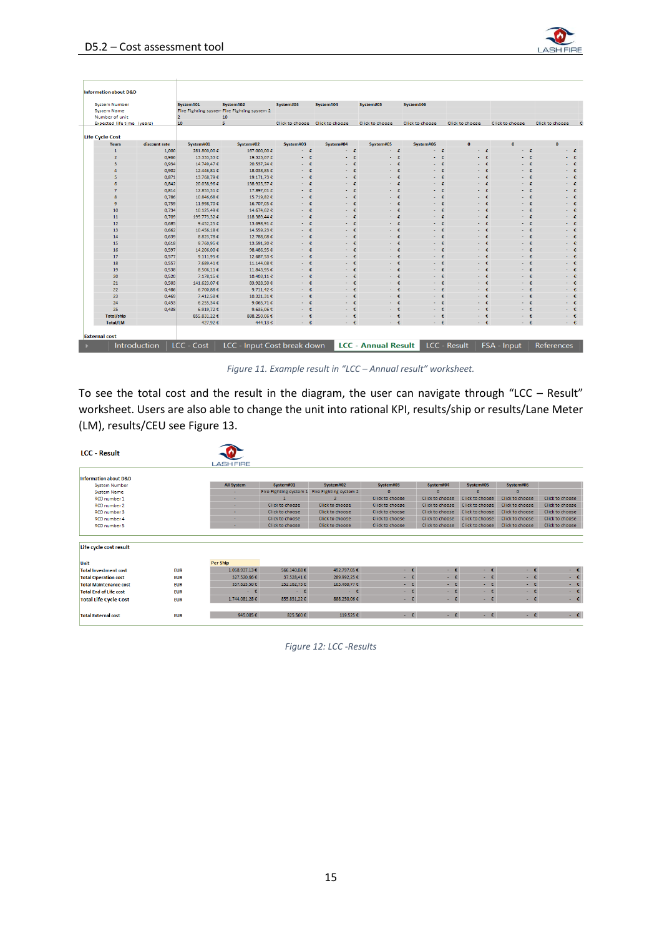

| <b>System Number</b>       |               | System#01      | System#02                                   | System#03            | System#04                       | System#05          | System#06              |                      |                    |                 |
|----------------------------|---------------|----------------|---------------------------------------------|----------------------|---------------------------------|--------------------|------------------------|----------------------|--------------------|-----------------|
| <b>System Name</b>         |               |                | Fire Fighting system Fire Fighting system 2 |                      |                                 |                    |                        |                      |                    |                 |
| Number of unit             |               | $\overline{2}$ | 10                                          |                      |                                 |                    |                        |                      |                    |                 |
| Expected life time (years) |               | 10             | 5                                           |                      | Click to choose Click to choose | Click to choose    | <b>Click to choose</b> | Click to choose      | Click to choose    | Click to choose |
|                            |               |                |                                             |                      |                                 |                    |                        |                      |                    |                 |
| Life Cycle Cost            |               |                |                                             |                      |                                 |                    |                        |                      |                    |                 |
| Years                      | discount rate | System#01      | System#02                                   | System#03            | System#04                       | System#05          | System#06              | $\mathbf{0}$         | $\mathbf{0}$       | $\bf{0}$        |
| $\mathbf{1}$               | 1,000         | 281.800,00€    | 167.000,00€                                 | $ \varepsilon$       | - €                             | $ \varepsilon$     | ÷ €                    | a.                   | Æ                  | a.              |
| $\overline{2}$             | 0,966         | 13.333,33 €    | 19.323,67€                                  | $\epsilon$<br>$\sim$ | Æ                               | $\epsilon$<br>٠    | $\epsilon$             | ÷                    | $\mathbf{f}$       |                 |
| $\overline{\mathbf{3}}$    | 0.934         | 14.749.47€     | 20.537.24€                                  | - €                  | ÷ €                             | Æ<br>$\sim$        | -€                     | Æ<br>÷.              | Æ<br>٠             |                 |
| Δ                          | 0.902         | 12.446.81 €    | 18,038,85 €                                 | ÷.<br>a.             | -£<br>$\sim$                    | $\mathbf{f}$<br>÷. | -£<br>÷                | ÷                    | ÷<br>÷.            |                 |
| 5                          | 0.871         | 13.768,79€     | 19.171.73€                                  | $\sim$               | Æ<br>÷.                         | ÷<br>a.            | -£<br>÷.               | ÷.                   | £<br>÷.            | a.              |
| 6                          | 0,842         | 20.038,96 €    | 138.925,57 €                                |                      | Æ                               | Æ                  | Æ                      |                      | Æ                  | - €             |
| $\overline{7}$             | 0,814         | 12.853,31 €    | 17.897,01€                                  | Æ<br>$\sim$          | Æ<br>$\mathbf{r}$               | Æ<br>a.            | Æ<br>$\mathbf{r}$      | ÷.                   | Æ<br>÷             | a.              |
| $\mathbf{R}$               | 0,786         | 10.846,68€     | 15.719,82€                                  | - €                  | ÷ €                             | ÷ €                | −€                     |                      | - €                | - €             |
| $\ddot{q}$                 | 0,759         | 11.998,70€     | 16.707,05€                                  | -£.<br>$\sim$        | -£.<br>$\sim$                   | Æ                  | ÷                      |                      | $\mathbf{f}$<br>÷. | ÷               |
| 10                         | 0.734         | 10.125,49€     | 14.674.62€                                  | €                    | -€<br>$\sim$                    | ÷                  | ÷                      |                      | Æ<br>٠             | - €             |
| 11                         | 0.709         | 199.773.32 €   | 118,389,44 €                                | $\sim$               | ÷                               | ÷<br>÷.            | -£                     | ÷                    | ÷<br>٠             | ÷.              |
| 12                         | 0.685         | 9.452,25 €     | 13,698,91€                                  | Æ<br>a.              | - £                             | Æ<br>$\sim$        | - £                    | ÷.                   | - £                | . е             |
| 13                         | 0,662         | 10.456,18€     | 14.559,23€                                  | - c                  | - £                             | - £                | - €                    | $\sim$               | - £                | - €             |
| 14                         | 0,639         | 8.823,78€      | 12.788,08€                                  | Æ<br>$\sim$          | ÷ €                             | Æ<br>a.            | Æ<br>×.                | a.                   | Æ<br>a.            | a.              |
| 15                         | 0,618         | 9.760,95€      | 13.591,20€                                  | $\epsilon$           | €                               | €                  | $\epsilon$             |                      | Æ                  | - €             |
| 16                         | 0,597         | 14.206,00€     | 98.486,95€                                  | ÷                    | $\epsilon$                      | ÷                  | $\epsilon$             |                      | $\epsilon$         |                 |
| 17                         | 0.577         | 9.111.95€      | 12,687.53€                                  | - 10                 | −€                              | ÷                  | -€                     | ÷                    | -€<br>٠            | - €             |
| 18                         | 0.557         | 7.689.41€      | 11.144.08€                                  | a.                   | -£<br>$\sim$                    | £.                 | Æ,                     | ÷                    | ÷<br>÷.            | ÷.              |
| 19                         | 0.538         | 8.506,11€      | 11,843,95 €                                 | a.                   | Æ<br>÷.                         | ÷<br>a.            | Æ<br>÷.                | ÷.                   | Æ<br>a.            | a.              |
| 20                         | 0,520         | 7.178,15€      | 10.403,11€                                  | Æ<br>$\sim$          | - £                             | Æ<br>$\sim$        | £                      | a.                   | Æ<br>٠             | - €             |
| 21                         | 0,503         | 141.623,07€    | 83.928,50 €                                 | €<br>$\sim$          | €<br>a.                         | Æ<br>a.            | €<br>×.                | Æ<br>a.              | Æ<br>a.            | a.              |
| 22                         | 0.486         | 6.700,88€      | 9.711,42€                                   | $ \varepsilon$       | ÷ €                             | ÷ €                | - €                    | $\epsilon$<br>$\sim$ | - €                | - €             |
| 23                         | 0,469         | 7.412,58€      | 10.321,31€                                  | ÷                    | $\mathbf{f}$<br>$\sim$          | ÷                  | $\mathbf{f}$<br>÷      |                      | $\mathbf{f}$<br>÷. | ÷               |
| 24                         | 0.453         | 6.255,34€      | 9.065.71€                                   |                      | -€                              | - 4                | $\cdot$                |                      | Æ                  | - €             |
| 25                         | 0.438         | $6.919.72$ €   | 9.635.06 $$$                                |                      | Æ                               | £                  | -£                     |                      | £                  | a.              |
| <b>Total/ship</b>          |               | 855.831,22 €   | 888.250,06 €                                | a.                   | - £                             | Æ<br>$\sim$        | - £                    | a.                   | - £                | - €             |
| <b>Total/LM</b>            |               | 427,92 €       | 444,13€                                     | - £                  | - £                             | - £                | - €                    | - £                  | - €                | - €             |
|                            |               |                |                                             |                      |                                 |                    |                        |                      |                    |                 |

*Figure 11. Example result in "LCC – Annual result" worksheet.*

<span id="page-15-0"></span>To see the total cost and the result in the diagram, the user can navigate through "LCC – Result" worksheet. Users are also able to change the unit into rational KPI, results/ship or results/Lane Meter (LM), results/CEU see [Figure 13.](#page-16-0)

| <b>LCC - Result</b>              |            |                   |                 |                                               |                 |                 |                        |                       |                       |
|----------------------------------|------------|-------------------|-----------------|-----------------------------------------------|-----------------|-----------------|------------------------|-----------------------|-----------------------|
|                                  |            | <b>LASH FIRE</b>  |                 |                                               |                 |                 |                        |                       |                       |
| <b>Information about D&amp;D</b> |            |                   |                 |                                               |                 |                 |                        |                       |                       |
| <b>System Number</b>             |            | <b>All System</b> | System#01       | System#02                                     | System#03       | System#04       | System#05              | System#06             |                       |
| <b>System Name</b>               |            |                   |                 | Fire Fighting system 1 Fire Fighting system 2 | $\Omega$        | $\mathbf{0}$    | $\Omega$               | $\Omega$              |                       |
| RCO number 1                     |            |                   | $\mathbf{1}$    | $\mathcal{D}$                                 | Click to choose | Click to choose | Click to choose        | Click to choose       | Click to choose       |
| RCO number 2                     |            |                   | Click to choose | Click to choose                               | Click to choose | Click to choose | Click to choose        | Click to choose       | Click to choose       |
| RCO number 3                     |            |                   | Click to choose | Click to choose                               | Click to choose | Click to choose | <b>Click to choose</b> | Click to choose       | Click to choose       |
| RCO number 4                     |            |                   | Click to choose | Click to choose                               | Click to choose | Click to choose | Click to choose        | Click to choose       | Click to choose       |
| RCO number 5                     |            | ٠                 | Click to choose | Click to choose                               | Click to choose | Click to choose | <b>Click to choose</b> | Click to choose       | Click to choose       |
| Life cycle cost result           |            |                   |                 |                                               |                 |                 |                        |                       |                       |
| Unit                             |            | Per Ship          |                 |                                               |                 |                 |                        |                       |                       |
| <b>Total Investment cost</b>     | <b>EUR</b> | 1.058.937,13 €    | 566.140,08€     | 492.797,05€                                   | $ \varepsilon$  | $ \varepsilon$  | $ \varepsilon$         | $\sim$ - $\mathbb{C}$ | $\sim$ - $\mathbb{C}$ |
| <b>Total Operation cost</b>      | <b>EUR</b> | 327.520,66 €      | 37.528,41€      | 289.992,25€                                   | $ \varepsilon$  | $ \varepsilon$  | $ \varepsilon$         | $ \varepsilon$        | $\sim$ - $\epsilon$   |
| <b>Total Maintenance cost</b>    | <b>EUR</b> | 357.623,50€       | 252.162,73€     | 105.460,77€                                   | $ \varepsilon$  | $ \varepsilon$  | $ \varepsilon$         | $ \varepsilon$        | $ \varepsilon$        |
| <b>Total End of Life cost</b>    | <b>EUR</b> | $ \varepsilon$    | $ \varepsilon$  | $ \varepsilon$                                | $ \varepsilon$  | $ \varepsilon$  | $ \varepsilon$         | $ \varepsilon$        | $\sim$ - $\mathbb C$  |
| <b>Total Life Cycle Cost</b>     | <b>EUR</b> | 1.744.081.28€     | 855.831.22€     | 888.250.06€                                   | $ \varepsilon$  | $ \varepsilon$  | $ \varepsilon$         | $ \varepsilon$        | $ \varepsilon$        |
| <b>Total External cost</b>       | <b>EUR</b> | 945.085€          | 825.560€        | 119.525€                                      | $-1$            | $ \varepsilon$  | $ \varepsilon$         | $ \varepsilon$        |                       |
|                                  |            |                   |                 |                                               |                 |                 |                        |                       |                       |

*Figure 12: LCC -Results*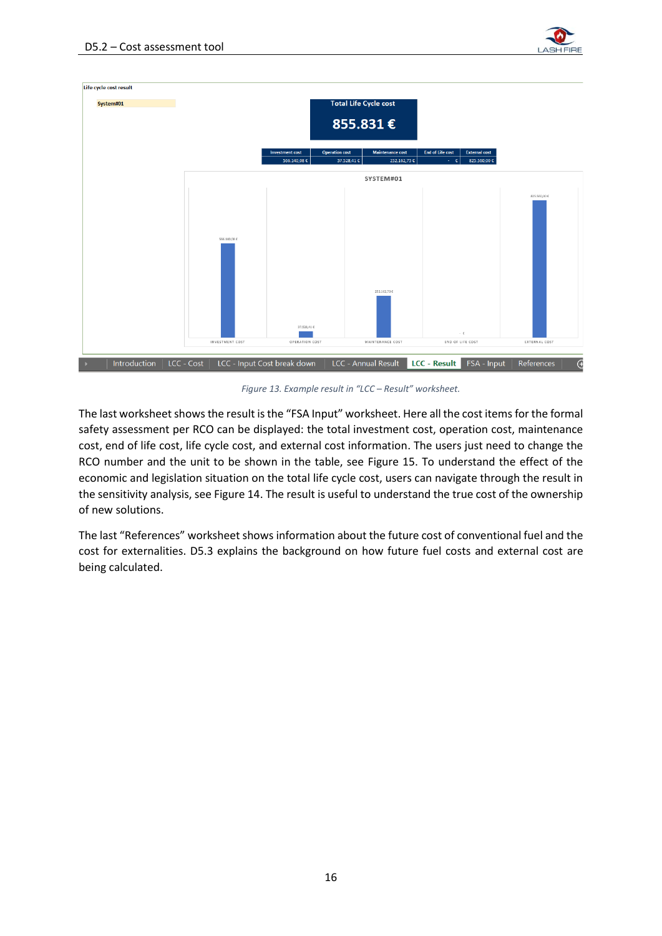



*Figure 13. Example result in "LCC – Result" worksheet.*

<span id="page-16-0"></span>The last worksheet shows the result is the "FSA Input" worksheet. Here all the cost items for the formal safety assessment per RCO can be displayed: the total investment cost, operation cost, maintenance cost, end of life cost, life cycle cost, and external cost information. The users just need to change the RCO number and the unit to be shown in the table, see [Figure 15.](#page-17-0) To understand the effect of the economic and legislation situation on the total life cycle cost, users can navigate through the result in the sensitivity analysis, se[e Figure 14.](#page-17-1) The result is useful to understand the true cost of the ownership of new solutions.

The last "References" worksheet shows information about the future cost of conventional fuel and the cost for externalities. D5.3 explains the background on how future fuel costs and external cost are being calculated.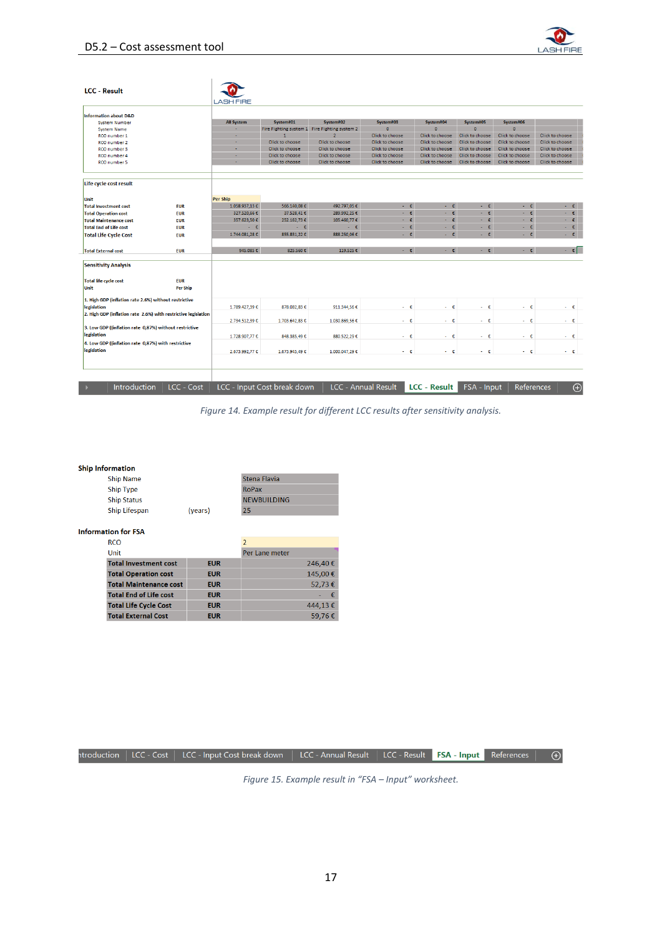

| <b>LCC - Result</b>                                                   | <b>LASH FIRE</b>  |                             |                                               |                                    |                 |                      |                 |                    |
|-----------------------------------------------------------------------|-------------------|-----------------------------|-----------------------------------------------|------------------------------------|-----------------|----------------------|-----------------|--------------------|
|                                                                       |                   |                             |                                               |                                    |                 |                      |                 |                    |
| <b>Information about D&amp;D</b>                                      |                   |                             |                                               |                                    |                 |                      |                 |                    |
| <b>System Number</b>                                                  | <b>All System</b> | System#01                   | System#02                                     | System#03                          | System#04       | System#05            | System#06       |                    |
| <b>System Name</b>                                                    |                   |                             | Fire Fighting system 1 Fire Fighting system 2 | ö                                  | $\Omega$        | $\Omega$             | $\Omega$        |                    |
| RCO number 1                                                          | ٠                 |                             | $\overline{2}$                                | Click to choose                    | Click to choose | Click to choose      | Click to choose | Click to choose    |
| RCO number 2                                                          | ÷                 | Click to choose             | Click to choose                               | Click to choose                    | Click to choose | Click to choose      | Click to choose | Click to choose    |
| RCO number 3                                                          |                   | Click to choose             | Click to choose                               | Click to choose                    | Click to choose | Click to choose      | Click to choose | Click to choose    |
| RCO number 4                                                          |                   | Click to choose             | Click to choose                               | Click to choose                    | Click to choose | Click to choose      | Click to choose | Click to choose    |
| RCO number 5                                                          |                   | Click to choose             | Click to choose                               | Click to choose                    | Click to choose | Click to choose      | Click to choose | Click to choose    |
| Life cycle cost result                                                |                   |                             |                                               |                                    |                 |                      |                 |                    |
| Unit                                                                  | Per Ship          |                             |                                               |                                    |                 |                      |                 |                    |
| <b>Total Investment cost</b><br><b>EUR</b>                            | 1.058.937,13€     | 566.140,08€                 | 492.797,05€                                   | $ \varepsilon$                     | $ \varepsilon$  | $ \varepsilon$       | $ \varepsilon$  | - e                |
| <b>Total Operation cost</b><br><b>EUR</b>                             | 327.520,66€       | 37.528,41€                  | 289.992,25€                                   | $ \varepsilon$                     | $ \varepsilon$  | ×.<br>€              | $ \varepsilon$  | $\cdot$ $\epsilon$ |
| <b>Total Maintenance cost</b><br><b>EUR</b>                           | 357.623,50 €      | 252.162,73€                 | 105.460,77 €                                  | $ \varepsilon$                     | $ \varepsilon$  | $\epsilon$<br>$\sim$ | $ \varepsilon$  | ÷ €                |
| <b>Total End of Life cost</b><br><b>EUR</b>                           | $ \varepsilon$    | $ \varepsilon$              | $ \varepsilon$                                | $ \varepsilon$                     | ÷ €             | $\epsilon$<br>$\sim$ | ÷ €             | ÷ €.               |
| <b>Total Life Cycle Cost</b><br><b>EUR</b>                            | 1.744.081.28€     | 855.831.22€                 | 888.250.06€                                   | - £                                | - £             | €<br>$\sim$          | ÷ €             | ÷ €                |
| <b>EUR</b><br><b>Total External cost</b>                              | 945,085€          | 825,560€                    | 119.525€                                      | $-10$                              | $ \varepsilon$  | $ E$                 | $-1$            | $\sim$ 6 $^{-1}$   |
| <b>Sensitivity Analysis</b>                                           |                   |                             |                                               |                                    |                 |                      |                 |                    |
| <b>Total life cycle cost</b><br><b>EUR</b>                            |                   |                             |                                               |                                    |                 |                      |                 |                    |
| <b>Per Ship</b><br>Unit                                               |                   |                             |                                               |                                    |                 |                      |                 |                    |
| 1. High GDP (inflation rate 2.6%) without restrictive                 |                   |                             |                                               |                                    |                 |                      |                 |                    |
| <b>legislation</b>                                                    | 1.789.427.39 €    | 878.082,83€                 | 911.344.56 €                                  | $ \varepsilon$                     | - e             | $ \varepsilon$       | $ \varepsilon$  | ÷ €                |
| 2. High GDP (inflation rate 2.6%) with restrictive legislation        | 2.734.512,39 €    | 1.703.642,83€               | 1.030.869,56 €                                | $ \varepsilon$                     | ÷ €             | $ \varepsilon$       | ÷ε              | ÷ε                 |
| 3. Low GDP ((inflation rate 0,87%) without restrictive<br>legislation |                   |                             |                                               |                                    | - e             |                      | $ \varepsilon$  | - e                |
| 4. Low GDP ((inflation rate 0,87%) with restrictive                   | 1.728.907.77 €    | 848.385.49€                 | 880.522.29€                                   | - £                                |                 | $-6$                 |                 |                    |
| legislation                                                           | 2.673.992.77 €    | 1.673.945.49€               | 1.000.047,29 €                                | ÷ £                                | ÷ £             | $-1$                 | - e             | - e                |
|                                                                       |                   |                             |                                               |                                    |                 |                      |                 |                    |
|                                                                       |                   |                             |                                               |                                    |                 |                      |                 |                    |
| <b>Introduction</b><br>LCC - Cost                                     |                   | LCC - Input Cost break down |                                               | LCC - Annual Result   LCC - Result |                 | FSA - Input          | References      | $\bigoplus$        |

*Figure 14. Example result for different LCC results after sensitivity analysis.*

#### <span id="page-17-1"></span>**Ship Information**

| <b>Ship Name</b>   |         | Stena Flavia       |
|--------------------|---------|--------------------|
| <b>Ship Type</b>   |         | <b>RoPax</b>       |
| <b>Ship Status</b> |         | <b>NEWBUILDING</b> |
| Ship Lifespan      | (years) | 25                 |

#### **Information for FSA**

| <b>RCO</b>                    |            |                |
|-------------------------------|------------|----------------|
| Unit                          |            | Per Lane meter |
| <b>Total Investment cost</b>  | <b>EUR</b> | 246,40€        |
| <b>Total Operation cost</b>   | <b>EUR</b> | 145,00€        |
| <b>Total Maintenance cost</b> | <b>EUR</b> | 52.73€         |
| <b>Total End of Life cost</b> | <b>EUR</b> |                |
| <b>Total Life Cycle Cost</b>  | <b>EUR</b> | 444,13€        |
| <b>Total External Cost</b>    | <b>EUR</b> | 59.76€         |

<span id="page-17-0"></span>

|  | ntroduction   LCC - Cost   LCC - Input Cost break down   LCC - Annual Result   LCC - Result <mark>  FSA - Input  </mark> References   $\quad$ $\oplus$ |  |  |  |
|--|--------------------------------------------------------------------------------------------------------------------------------------------------------|--|--|--|

*Figure 15. Example result in "FSA – Input" worksheet.*